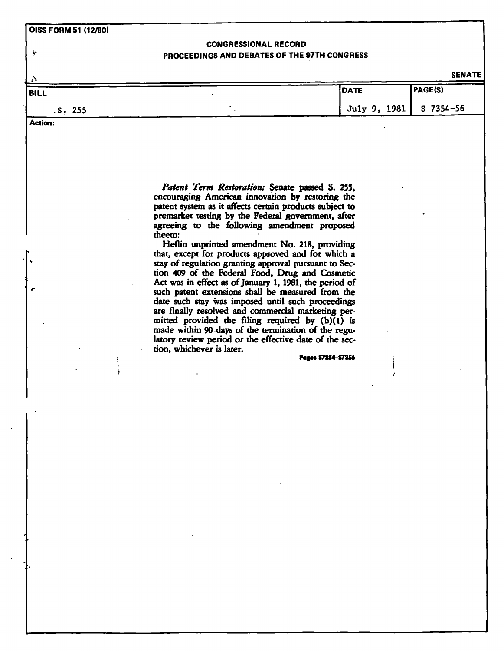**OISS FORM 51 (12/80)** 

j.

## **CONGRESSIONAL RECORD PROCEEDINGS AND DEBATES OF THE 97TH CONGRESS**

**SENATE** 

| ا کا<br>BILL   | DATE                     | PAGE(S) |
|----------------|--------------------------|---------|
| .S. 255        | July 9, 1981   S 7354-56 |         |
| <b>Action:</b> |                          |         |

*Patent Term Restoration:* **Senate passed S. 255, encouraging American innovation by restoring the patent system as it affects certain products subject to premarket testing by the Federal government, after agreeing to the following amendment proposed theeto:** 

**Heflin unprinted amendment No. 218, providing that, except for products approved and for which a stay of regulation granting approval pursuant to Section 409 of the Federal Food, Drug and Cosmetic Act was in effect as of January 1,1981, the period of such patent extensions shall be measured from the date such stay was imposed until such proceedings are finally resolved and commercial marketing permitted provided the filing required by (b)(1) is made within 90 days of the termination of die regulatory review period or the effective date of the sec**tion, whichever is later.

**Page\* S7354-S7356** 

Ļ.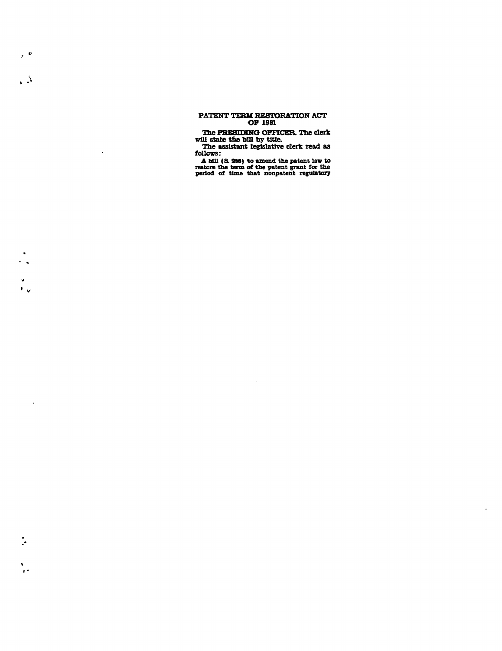## **PATENT TERM RESTORATION ACT OF 1981**

 $\mathcal{P}^{\otimes k}$ 

 $\sqrt{2}$ 

 $\hat{\mathbf{z}}$  $\mathbf{F}_{\mathbf{v}}$ 

 $\sim$ 

 $\ddot{\cdot}$ 

 $\frac{1}{2}$ 

 $\bar{z}$ 

**The PRESIDING OFFICER. The clerk will state the bDl by title.** 

**The assistant legislative clerk read as follows:** 

**A Mil (S. 255) to amend the patent law to** restore the term of the patent grant for the period of time that nonpatent regulatory

 $\mathcal{L}_{\mathcal{A}}$ 

 $\bullet$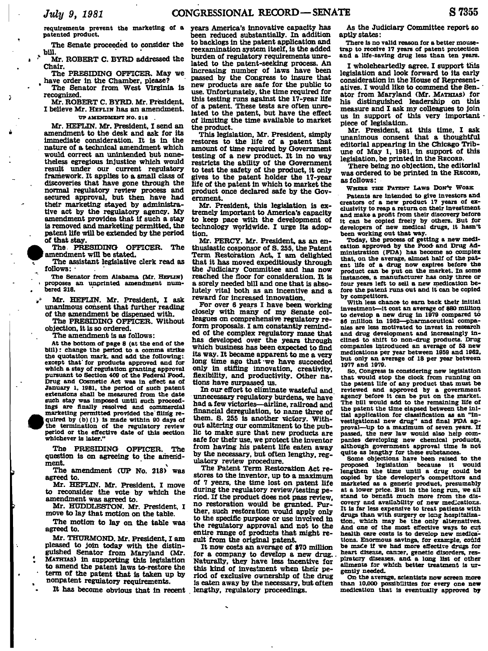Ď

 $\overline{a}$ 

**requirements prevent the marketing of a patented product.** 

**The Senate proceeded to consider the**   $\frac{1}{2}$  bill.

**Mr. ROBERT C. BYRD addressed the Chair.** 

**The PRESIDING OFFICER. May we**  *t*  **have order in the Chamber, please?** 

**The Senator from West Virginia is recognized.** 

**Mr. ROBERT C. BYRD. Mr. President, I believe Mr. HEFLIN has an amendment. UP AMENDMENT NO. 21 8 .** 

**Mr. HEFLIN. Mr. President, I send an amendment to the desk and ask for its immediate consideration. It is in the nature of a technical amendment which would correct an unintended but nonetheless egregious injustice which would result under our current regulatory framework. It applies to a small class of discoveries that have gone through the normal regulatory review process and secured approval, but then have had their marketing stayed by administrative act by the regulatory agency. My amendment provides that if such a stay is removed and marketing permitted, the patent life will be extended by the period of that stay.** 

**The PRESIDING OFFICER. The**  amendment will be stated.

**The assistant legislative clerk read as follows: -**

**The Senator from Alabama (Mr. HEFLIN) proposes an unprlnted amendment numbered 218.** 

- **Mr. HEFLIN. Mr. President, I ask unanimous consent that further reading of the amendment be dispensed with.**
- **The PRESIDING OFFICER. Without objection, it is so ordered.**

**The amendment is as follows:** 

**At the bottom of page 8 (at the end of the bill): change the period to a comma strike the quotation mark, and add the following: except that' for products approved and for which a stay of regulation granting approval pursuant to Section 409 of the Federal Food, Drug and Cosmetic Act was in effect as of January l, 1981, the period of such patent extensions shaU be measured from the date**  such stay was imposed until such proceed**ings are finally resolved and commercial marketing permitted provided the'filing re-1 quired by (b) (1) Is made within 90 days of 'the termination of the regulatory review period or the effective date of this section whichever Is later."** 

**The PRESIDING OFFICER. The question is on agreeing to the amend-**

**ment.<sup>v</sup> The amendment (UP No. 218) was agreed to.** 

**Mr. HEFLIN. Mr. President, I move to reconsider the vote by which the amendment was agreed to.** 

**Mr. HDDDLESTON. Mr. President, I move to lay that motion on the table.** 

**The motion to lay on the table was agreed to.** 

**Mr. THURMOND. Mr. President. I am pleased to join today with the distinguished Senator from Maryland (Mr. MATHUS) in supporting this legislation to amend the patent laws to-restore the term of the patent that is taken up by nonpatent regulatory requirements.** 

**It has become obvious that in recent** 

**years America's innovative capacity has been reduced substantially. In addition to backlogs in the patent application and reexamination system itself, is the added burden of regulatory requirements unrelated to the patent-seeking process. An increasing number of laws have been passed by the Congress to insure that new products are safe for the public to use. Unfortunately, the time required for this testing runs against the 17-year life of a patent. These tests are often unrelated to the patent, but have the effect of limiting the time available to market the product.** 

**This legislation, Mr. President, simply restores to the life of a patent that amount of time required by Government testing of a new product. It in no way restricts the ability of the Government to test the safety of the product, it only gives to the patent holder the 17-year life of the patent in which to market the product once declared safe by the Government.** 

**Mr. President, this legislation is extremely important to America's capacity to keep pace with the development of technology worldwide. I urge Its adoption.** 

**Mr. PERCY. Mr. President, as an enthusiastic cosponsor of S. 255, the Patent Term Restoration Act, I am delighted that it has moved expeditiously through the Judiciary Committee and has now reached the floor for consideration. It is a sorely needed bill and one that is absolutely vital both as an incentive and a reward for increased innovation.** 

**For over 6 years I have been working closely with many of my Senate colleagues on comprehensive regulatory reform proposals. I am constantly reminded of the complex regulatory maze that has developed over the years through which business has been expected to find its way. It became apparent to me a very long time ago that -we have succeeded only in stifling innovation, creativity, flexibility, and productivity. Other nations have surpassed us.** 

**In our effort to eliminate wasteful and unnecessary regulatory burdens, we have had a few victories—airline, railroad and financial deregulation, to name three of them. S. 255 is another victory. Without altering our commitment to the public to make sure that new products are safe for their use, we protect the inventor from having his patent life eaten away by the necessary, but often lengthy, regulatory review procedure.** 

**The Patent Term Restoration Act restores to the inventor, up to a maximum of 7 years, the time lost on patent life during the regulatory review/testing period. If the product does not pass review, no restoration would be granted. Further, such restoration would apply only to the specific purpose or use involved in the regulatory approval and not to the entire range of products that might result from the original patent.** 

**It now costs an average of \$70 million . for a company to develop a new drug.. Naturally, they have less incentive for this kind of investment when their period of exclusive ownership of the drug is eaten away by the necessary, but often lengthy, regulatory proceedings.** 

**As the Judiciary Committee report so aptly states:** 

**There is no valid reason for a better mousetrap to receive 17 years of patent protection and a life-saving drug less than ten years.** 

**I wholeheartedly agree. I support this legislation and look forward to its early consideration in the House of Representatives. I would like to commend the Senator from Maryland (Mr. MATHIAS) for his distinguished leadership on this measure and I ask my colleagues to join**  us in support of this very important **piece of legislation.** 

**Mr. President, at this time, I ask unanimous consent that a thoughtful editorial appearing in the Chicago Tribune of May 1, 1981, in support of this legislation, be printed in the RECORD.** 

**There being no objection, the editorial was ordered to be printed in the RECORD, as follows:** 

**WHERE THE PATENT LAWS DON'T WOBK** 

**Patents are Intended to give investors and creators of a new product IT years of exclusivity to reap a return on their investment and make a profit from their discovery before It can be copied freely by others. But for developers of new medical drugs. It hasn't been working out that way.** 

**Today, the process of getting a new medi-cation approved by the Food- and Drug Administration (FDA) has become so complex that, on the average, almost half of the patent life of a drug now expires before the product can be put on the market. In some instances, a manufacturer has only three or four years left to sell a new medication before the patent runs out and It can be copied by competitors.** 

**With less chance to earn back their Initial investment—it cost an average of \$80 million to develop a new drug in 1979 compared to \$6 million in 1962—pharmaceutical companies are less motivated to Invest in research and drug development and Increasingly Inclined to shift to non-drug products. Drug companies introduced an average of 63 new medications per year between 1959 and 1962, but only an average of 18 per year between 1977 and 1979.** 

**So, Congress Is considering new legislation that would stop the clock from running on the patent life of any product that must be reviewed and approved by a government agency before it can be put on the market. The bill would add to the remaining life of the patent the time elapsed between the initial application for classification as an "Investigational new drug" and final FDA approval—up to a maximum of seven years. If passed, the new law would also help companies developing new chemical products, although government approval time Is not quite as lengthy for these substances.** 

**Some objections have been raised to the**<br>proposed legislation because it would legislation because it **lengthen the time until a drug could be copied by the developer's competitors and marketed as a generic product, presumably at a lower price. But in the long run, we all stand to benefit much more from the dis-covery and availability of new medications. It Is far less expensive to treat patients with drugs than with surgery** *ta* **long hospitaliza-tion, which may be the only alternatives. And one of the most effective ways to cut health care costs is to develop new medica**tions. Enormous savings, for example, could **be made if we had more effective drugs for heart disease, cancer, genetic disorders, res-piratory diseases, and a long list of other ailments for which better treatment is urgently needed.** 

**On the average, scientists now screen more than 10.000 possibilities for every one new medication that is eventually approved by**